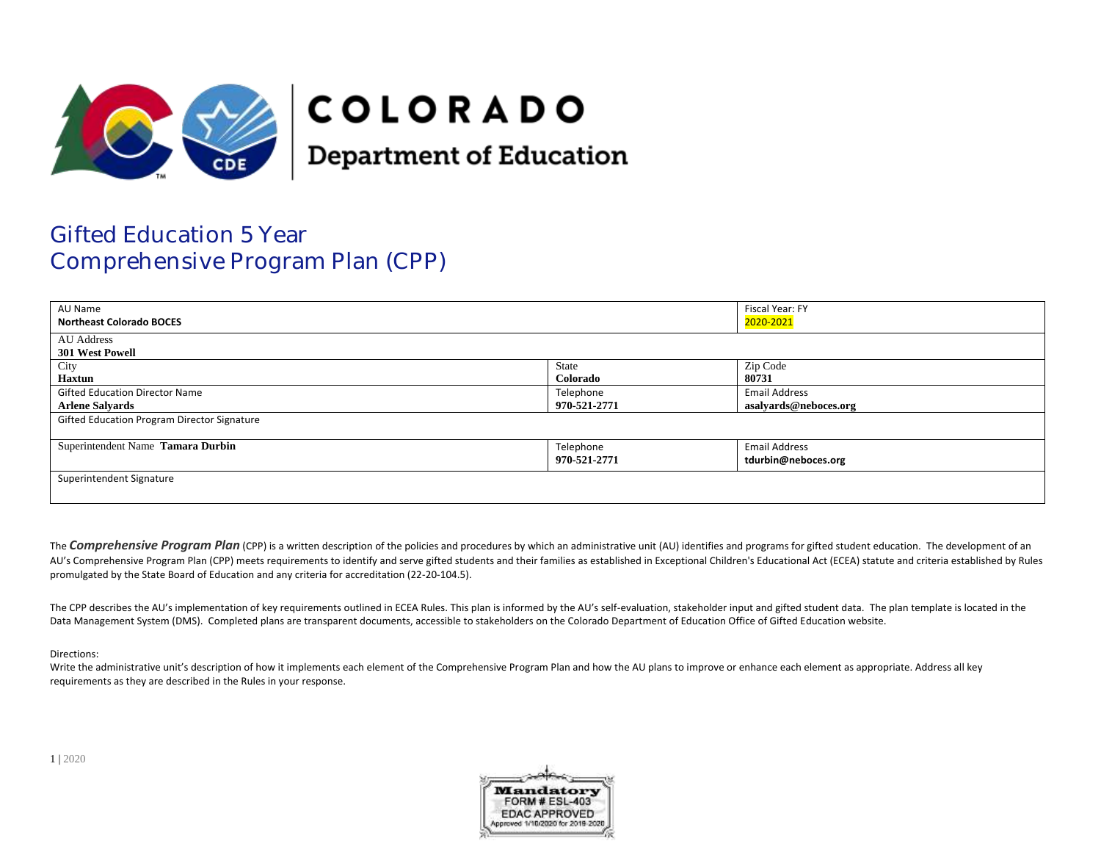

## **COLORADO**

**Department of Education** 

## Gifted Education 5 Year Comprehensive Program Plan (CPP)

| AU Name<br><b>Northeast Colorado BOCES</b>  |              | Fiscal Year: FY<br>2020-2021 |  |
|---------------------------------------------|--------------|------------------------------|--|
|                                             |              |                              |  |
| <b>AU</b> Address                           |              |                              |  |
| 301 West Powell                             |              |                              |  |
| City                                        | State        | Zip Code                     |  |
| <b>Haxtun</b>                               | Colorado     | 80731                        |  |
| <b>Gifted Education Director Name</b>       | Telephone    | <b>Email Address</b>         |  |
| <b>Arlene Salvards</b>                      | 970-521-2771 | asalvards@neboces.org        |  |
| Gifted Education Program Director Signature |              |                              |  |
|                                             |              |                              |  |
| Superintendent Name Tamara Durbin           | Telephone    | <b>Email Address</b>         |  |
|                                             | 970-521-2771 | tdurbin@neboces.org          |  |
| Superintendent Signature                    |              |                              |  |
|                                             |              |                              |  |
|                                             |              |                              |  |

The **Comprehensive Program Plan** (CPP) is a written description of the policies and procedures by which an administrative unit (AU) identifies and programs for gifted student education. The development of an AU's Comprehensive Program Plan (CPP) meets requirements to identify and serve gifted students and their families as established in Exceptional Children's Educational Act (ECEA) statute and criteria established by Rules promulgated by the State Board of Education and any criteria for accreditation (22-20-104.5).

The CPP describes the AU's implementation of key requirements outlined in ECEA Rules. This plan is informed by the AU's self-evaluation, stakeholder input and gifted student data. The plan template is located in the Data Management System (DMS). Completed plans are transparent documents, accessible to stakeholders on the Colorado Department of Education Office of Gifted Education website.

## Directions:

Write the administrative unit's description of how it implements each element of the Comprehensive Program Plan and how the AU plans to improve or enhance each element as appropriate. Address all key requirements as they are described in the Rules in your response.

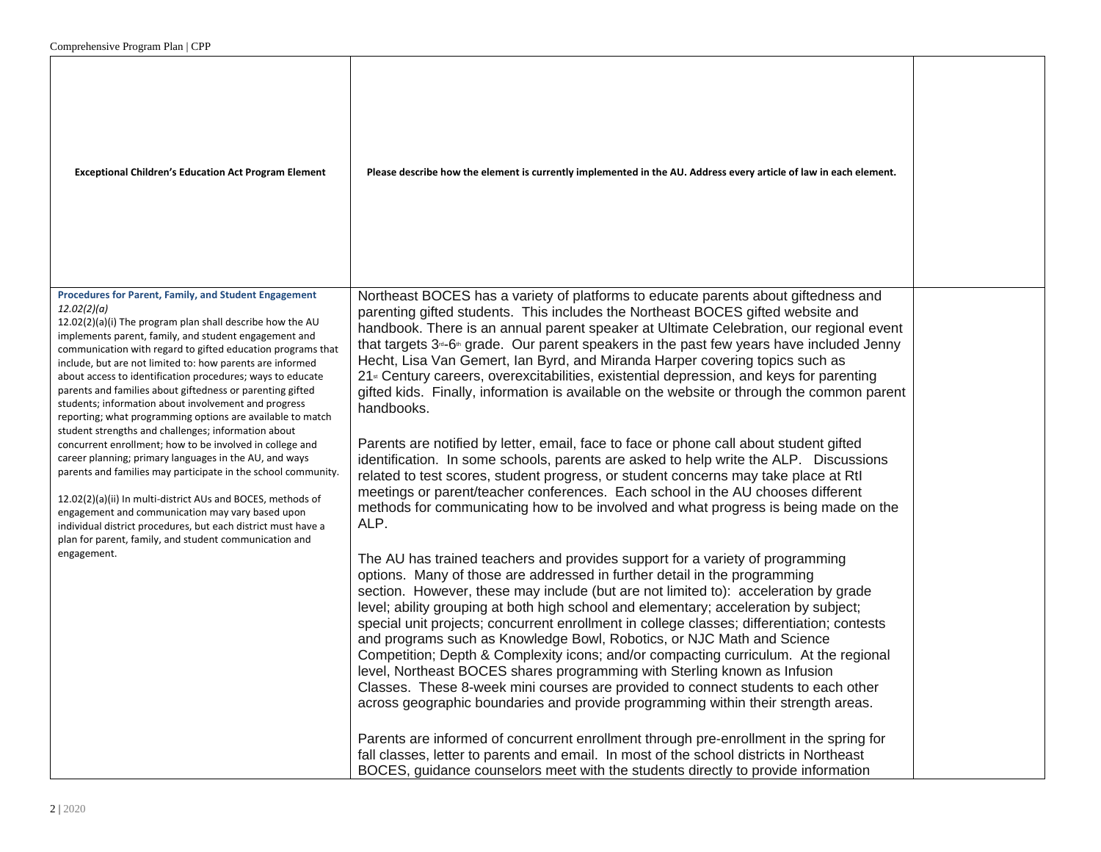| <b>Exceptional Children's Education Act Program Element</b>                                                                                                                                                                                                                                                                                                                                                                                                                                                                                                                                                                                                                                                                                                                                                                                                                                                                                                                                                                                                                        | Please describe how the element is currently implemented in the AU. Address every article of law in each element.                                                                                                                                                                                                                                                                                                                                                                                                                                                                                                                                                                                                                                                                                                                                                                                                                                                                                                                                                                                                                                                                                                                                                                                                                                                                                                                                                                                                                                                                                                                                                                                                                                                                                                                                                                                                                                                                                                                                                                                                                                                                                                                                                                   |  |
|------------------------------------------------------------------------------------------------------------------------------------------------------------------------------------------------------------------------------------------------------------------------------------------------------------------------------------------------------------------------------------------------------------------------------------------------------------------------------------------------------------------------------------------------------------------------------------------------------------------------------------------------------------------------------------------------------------------------------------------------------------------------------------------------------------------------------------------------------------------------------------------------------------------------------------------------------------------------------------------------------------------------------------------------------------------------------------|-------------------------------------------------------------------------------------------------------------------------------------------------------------------------------------------------------------------------------------------------------------------------------------------------------------------------------------------------------------------------------------------------------------------------------------------------------------------------------------------------------------------------------------------------------------------------------------------------------------------------------------------------------------------------------------------------------------------------------------------------------------------------------------------------------------------------------------------------------------------------------------------------------------------------------------------------------------------------------------------------------------------------------------------------------------------------------------------------------------------------------------------------------------------------------------------------------------------------------------------------------------------------------------------------------------------------------------------------------------------------------------------------------------------------------------------------------------------------------------------------------------------------------------------------------------------------------------------------------------------------------------------------------------------------------------------------------------------------------------------------------------------------------------------------------------------------------------------------------------------------------------------------------------------------------------------------------------------------------------------------------------------------------------------------------------------------------------------------------------------------------------------------------------------------------------------------------------------------------------------------------------------------------------|--|
| Procedures for Parent, Family, and Student Engagement<br>12.02(2)(a)<br>12.02(2)(a)(i) The program plan shall describe how the AU<br>implements parent, family, and student engagement and<br>communication with regard to gifted education programs that<br>include, but are not limited to: how parents are informed<br>about access to identification procedures; ways to educate<br>parents and families about giftedness or parenting gifted<br>students; information about involvement and progress<br>reporting; what programming options are available to match<br>student strengths and challenges; information about<br>concurrent enrollment; how to be involved in college and<br>career planning; primary languages in the AU, and ways<br>parents and families may participate in the school community.<br>12.02(2)(a)(ii) In multi-district AUs and BOCES, methods of<br>engagement and communication may vary based upon<br>individual district procedures, but each district must have a<br>plan for parent, family, and student communication and<br>engagement. | Northeast BOCES has a variety of platforms to educate parents about giftedness and<br>parenting gifted students. This includes the Northeast BOCES gifted website and<br>handbook. There is an annual parent speaker at Ultimate Celebration, our regional event<br>that targets 3 <sup>-6</sup> grade. Our parent speakers in the past few years have included Jenny<br>Hecht, Lisa Van Gemert, Ian Byrd, and Miranda Harper covering topics such as<br>21 <sup>st</sup> Century careers, overexcitabilities, existential depression, and keys for parenting<br>gifted kids. Finally, information is available on the website or through the common parent<br>handbooks.<br>Parents are notified by letter, email, face to face or phone call about student gifted<br>identification. In some schools, parents are asked to help write the ALP. Discussions<br>related to test scores, student progress, or student concerns may take place at RtI<br>meetings or parent/teacher conferences. Each school in the AU chooses different<br>methods for communicating how to be involved and what progress is being made on the<br>ALP.<br>The AU has trained teachers and provides support for a variety of programming<br>options. Many of those are addressed in further detail in the programming<br>section. However, these may include (but are not limited to): acceleration by grade<br>level; ability grouping at both high school and elementary; acceleration by subject;<br>special unit projects; concurrent enrollment in college classes; differentiation; contests<br>and programs such as Knowledge Bowl, Robotics, or NJC Math and Science<br>Competition; Depth & Complexity icons; and/or compacting curriculum. At the regional<br>level, Northeast BOCES shares programming with Sterling known as Infusion<br>Classes. These 8-week mini courses are provided to connect students to each other<br>across geographic boundaries and provide programming within their strength areas.<br>Parents are informed of concurrent enrollment through pre-enrollment in the spring for<br>fall classes, letter to parents and email. In most of the school districts in Northeast<br>BOCES, guidance counselors meet with the students directly to provide information |  |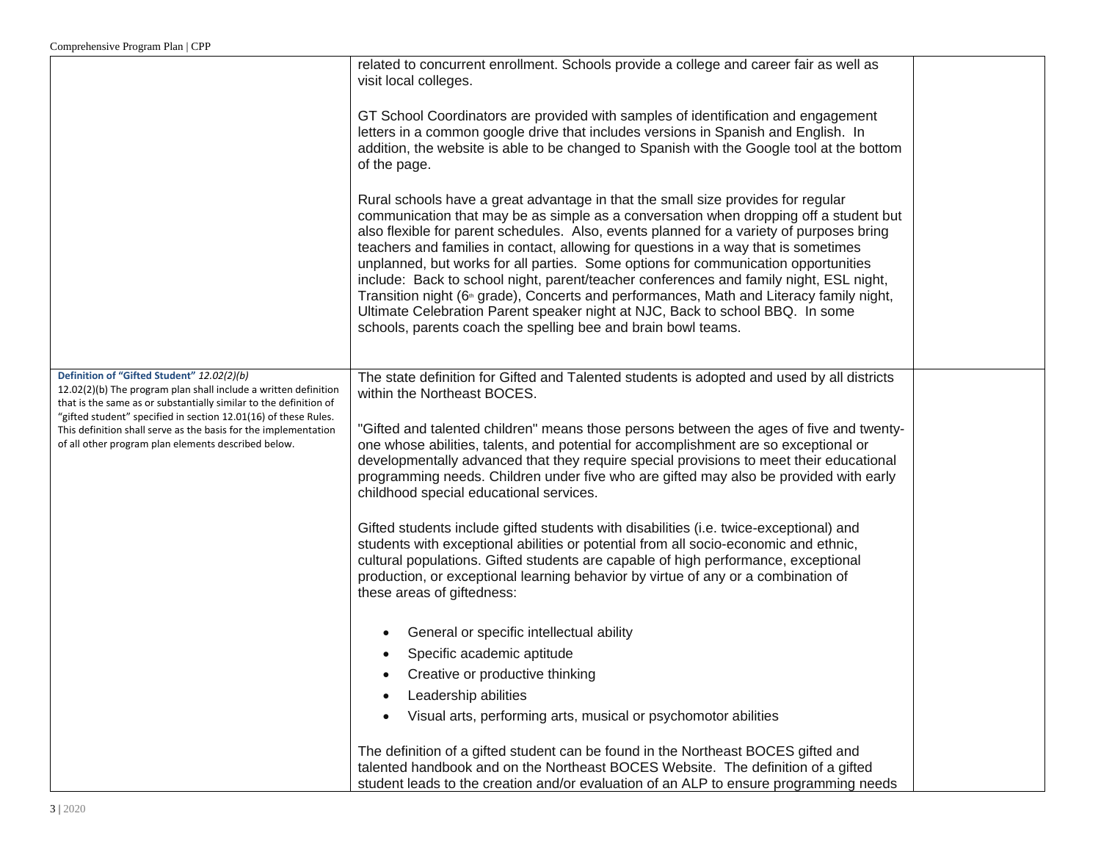|                                                                                                                                                                                           | related to concurrent enrollment. Schools provide a college and career fair as well as                                                                                                                                                                                                                                                                                                                                                                                                                                                                                                                                                                                                                                                                                                                 |  |
|-------------------------------------------------------------------------------------------------------------------------------------------------------------------------------------------|--------------------------------------------------------------------------------------------------------------------------------------------------------------------------------------------------------------------------------------------------------------------------------------------------------------------------------------------------------------------------------------------------------------------------------------------------------------------------------------------------------------------------------------------------------------------------------------------------------------------------------------------------------------------------------------------------------------------------------------------------------------------------------------------------------|--|
|                                                                                                                                                                                           | visit local colleges.                                                                                                                                                                                                                                                                                                                                                                                                                                                                                                                                                                                                                                                                                                                                                                                  |  |
|                                                                                                                                                                                           | GT School Coordinators are provided with samples of identification and engagement<br>letters in a common google drive that includes versions in Spanish and English. In<br>addition, the website is able to be changed to Spanish with the Google tool at the bottom<br>of the page.                                                                                                                                                                                                                                                                                                                                                                                                                                                                                                                   |  |
|                                                                                                                                                                                           | Rural schools have a great advantage in that the small size provides for regular<br>communication that may be as simple as a conversation when dropping off a student but<br>also flexible for parent schedules. Also, events planned for a variety of purposes bring<br>teachers and families in contact, allowing for questions in a way that is sometimes<br>unplanned, but works for all parties. Some options for communication opportunities<br>include: Back to school night, parent/teacher conferences and family night, ESL night,<br>Transition night (6 <sup>th</sup> grade), Concerts and performances, Math and Literacy family night,<br>Ultimate Celebration Parent speaker night at NJC, Back to school BBQ. In some<br>schools, parents coach the spelling bee and brain bowl teams. |  |
| Definition of "Gifted Student" 12.02(2)(b)<br>12.02(2)(b) The program plan shall include a written definition                                                                             | The state definition for Gifted and Talented students is adopted and used by all districts                                                                                                                                                                                                                                                                                                                                                                                                                                                                                                                                                                                                                                                                                                             |  |
| that is the same as or substantially similar to the definition of                                                                                                                         | within the Northeast BOCES.                                                                                                                                                                                                                                                                                                                                                                                                                                                                                                                                                                                                                                                                                                                                                                            |  |
| "gifted student" specified in section 12.01(16) of these Rules.<br>This definition shall serve as the basis for the implementation<br>of all other program plan elements described below. | "Gifted and talented children" means those persons between the ages of five and twenty-<br>one whose abilities, talents, and potential for accomplishment are so exceptional or<br>developmentally advanced that they require special provisions to meet their educational<br>programming needs. Children under five who are gifted may also be provided with early<br>childhood special educational services.                                                                                                                                                                                                                                                                                                                                                                                         |  |
|                                                                                                                                                                                           | Gifted students include gifted students with disabilities (i.e. twice-exceptional) and<br>students with exceptional abilities or potential from all socio-economic and ethnic,<br>cultural populations. Gifted students are capable of high performance, exceptional<br>production, or exceptional learning behavior by virtue of any or a combination of<br>these areas of giftedness:                                                                                                                                                                                                                                                                                                                                                                                                                |  |
|                                                                                                                                                                                           | General or specific intellectual ability                                                                                                                                                                                                                                                                                                                                                                                                                                                                                                                                                                                                                                                                                                                                                               |  |
|                                                                                                                                                                                           | Specific academic aptitude                                                                                                                                                                                                                                                                                                                                                                                                                                                                                                                                                                                                                                                                                                                                                                             |  |
|                                                                                                                                                                                           | Creative or productive thinking                                                                                                                                                                                                                                                                                                                                                                                                                                                                                                                                                                                                                                                                                                                                                                        |  |
|                                                                                                                                                                                           | Leadership abilities                                                                                                                                                                                                                                                                                                                                                                                                                                                                                                                                                                                                                                                                                                                                                                                   |  |
|                                                                                                                                                                                           | Visual arts, performing arts, musical or psychomotor abilities<br>$\bullet$                                                                                                                                                                                                                                                                                                                                                                                                                                                                                                                                                                                                                                                                                                                            |  |
|                                                                                                                                                                                           | The definition of a gifted student can be found in the Northeast BOCES gifted and<br>talented handbook and on the Northeast BOCES Website. The definition of a gifted<br>student leads to the creation and/or evaluation of an ALP to ensure programming needs                                                                                                                                                                                                                                                                                                                                                                                                                                                                                                                                         |  |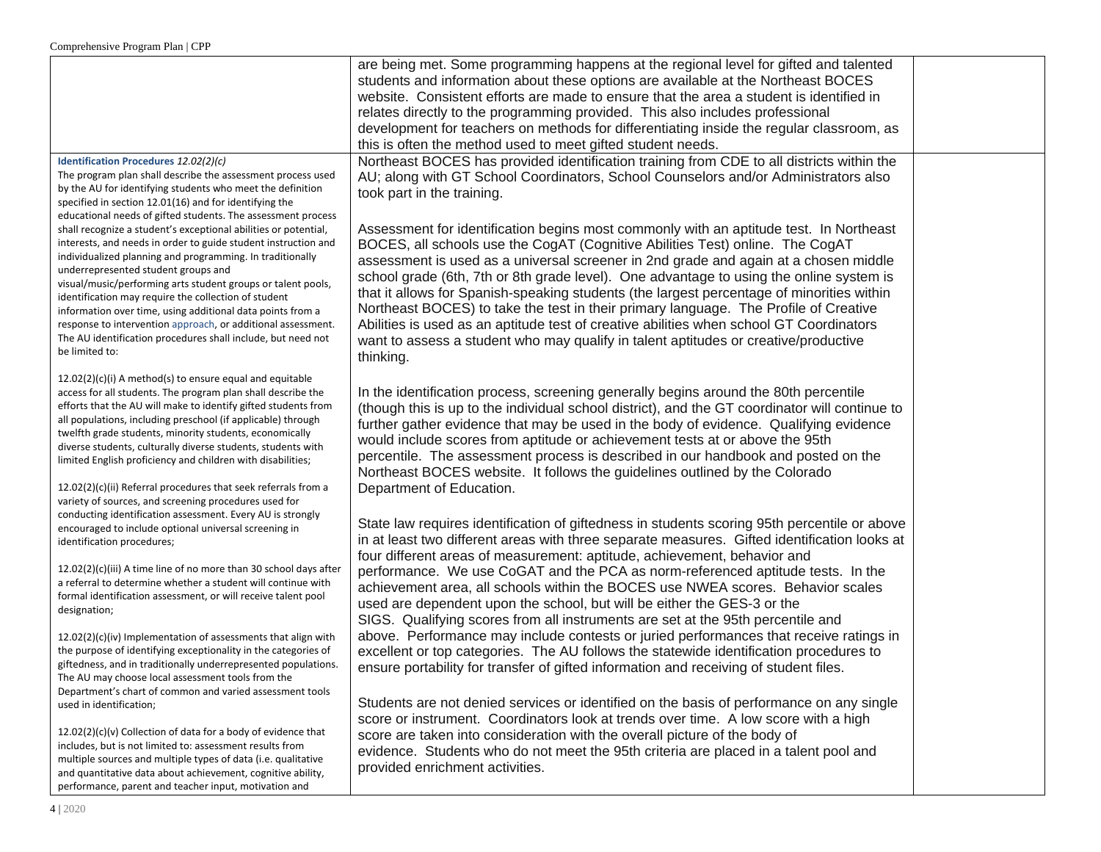|                                                                                                                               | are being met. Some programming happens at the regional level for gifted and talented<br>students and information about these options are available at the Northeast BOCES |  |
|-------------------------------------------------------------------------------------------------------------------------------|----------------------------------------------------------------------------------------------------------------------------------------------------------------------------|--|
|                                                                                                                               | website. Consistent efforts are made to ensure that the area a student is identified in                                                                                    |  |
|                                                                                                                               | relates directly to the programming provided. This also includes professional                                                                                              |  |
|                                                                                                                               | development for teachers on methods for differentiating inside the regular classroom, as                                                                                   |  |
|                                                                                                                               | this is often the method used to meet gifted student needs.                                                                                                                |  |
| Identification Procedures 12.02(2)(c)                                                                                         | Northeast BOCES has provided identification training from CDE to all districts within the                                                                                  |  |
| The program plan shall describe the assessment process used                                                                   | AU; along with GT School Coordinators, School Counselors and/or Administrators also                                                                                        |  |
| by the AU for identifying students who meet the definition                                                                    |                                                                                                                                                                            |  |
| specified in section 12.01(16) and for identifying the                                                                        | took part in the training.                                                                                                                                                 |  |
| educational needs of gifted students. The assessment process                                                                  |                                                                                                                                                                            |  |
| shall recognize a student's exceptional abilities or potential,                                                               | Assessment for identification begins most commonly with an aptitude test. In Northeast                                                                                     |  |
| interests, and needs in order to guide student instruction and                                                                | BOCES, all schools use the CogAT (Cognitive Abilities Test) online. The CogAT                                                                                              |  |
| individualized planning and programming. In traditionally                                                                     | assessment is used as a universal screener in 2nd grade and again at a chosen middle                                                                                       |  |
| underrepresented student groups and                                                                                           | school grade (6th, 7th or 8th grade level). One advantage to using the online system is                                                                                    |  |
| visual/music/performing arts student groups or talent pools,                                                                  | that it allows for Spanish-speaking students (the largest percentage of minorities within                                                                                  |  |
| identification may require the collection of student<br>information over time, using additional data points from a            | Northeast BOCES) to take the test in their primary language. The Profile of Creative                                                                                       |  |
| response to intervention approach, or additional assessment.                                                                  | Abilities is used as an aptitude test of creative abilities when school GT Coordinators                                                                                    |  |
| The AU identification procedures shall include, but need not                                                                  | want to assess a student who may qualify in talent aptitudes or creative/productive                                                                                        |  |
| be limited to:                                                                                                                |                                                                                                                                                                            |  |
|                                                                                                                               | thinking.                                                                                                                                                                  |  |
| $12.02(2)(c)(i)$ A method(s) to ensure equal and equitable                                                                    |                                                                                                                                                                            |  |
| access for all students. The program plan shall describe the                                                                  | In the identification process, screening generally begins around the 80th percentile                                                                                       |  |
| efforts that the AU will make to identify gifted students from                                                                | (though this is up to the individual school district), and the GT coordinator will continue to                                                                             |  |
| all populations, including preschool (if applicable) through                                                                  | further gather evidence that may be used in the body of evidence. Qualifying evidence                                                                                      |  |
| twelfth grade students, minority students, economically                                                                       | would include scores from aptitude or achievement tests at or above the 95th                                                                                               |  |
| diverse students, culturally diverse students, students with<br>limited English proficiency and children with disabilities;   | percentile. The assessment process is described in our handbook and posted on the                                                                                          |  |
|                                                                                                                               | Northeast BOCES website. It follows the guidelines outlined by the Colorado                                                                                                |  |
| 12.02(2)(c)(ii) Referral procedures that seek referrals from a                                                                | Department of Education.                                                                                                                                                   |  |
| variety of sources, and screening procedures used for                                                                         |                                                                                                                                                                            |  |
| conducting identification assessment. Every AU is strongly                                                                    |                                                                                                                                                                            |  |
| encouraged to include optional universal screening in                                                                         | State law requires identification of giftedness in students scoring 95th percentile or above                                                                               |  |
| identification procedures;                                                                                                    | in at least two different areas with three separate measures. Gifted identification looks at                                                                               |  |
|                                                                                                                               | four different areas of measurement: aptitude, achievement, behavior and                                                                                                   |  |
| 12.02(2)(c)(iii) A time line of no more than 30 school days after                                                             | performance. We use CoGAT and the PCA as norm-referenced aptitude tests. In the                                                                                            |  |
| a referral to determine whether a student will continue with<br>formal identification assessment, or will receive talent pool | achievement area, all schools within the BOCES use NWEA scores. Behavior scales                                                                                            |  |
| designation;                                                                                                                  | used are dependent upon the school, but will be either the GES-3 or the                                                                                                    |  |
|                                                                                                                               | SIGS. Qualifying scores from all instruments are set at the 95th percentile and                                                                                            |  |
| 12.02(2)(c)(iv) Implementation of assessments that align with                                                                 | above. Performance may include contests or juried performances that receive ratings in                                                                                     |  |
| the purpose of identifying exceptionality in the categories of                                                                | excellent or top categories. The AU follows the statewide identification procedures to                                                                                     |  |
| giftedness, and in traditionally underrepresented populations.                                                                | ensure portability for transfer of gifted information and receiving of student files.                                                                                      |  |
| The AU may choose local assessment tools from the                                                                             |                                                                                                                                                                            |  |
| Department's chart of common and varied assessment tools                                                                      |                                                                                                                                                                            |  |
| used in identification;                                                                                                       | Students are not denied services or identified on the basis of performance on any single                                                                                   |  |
|                                                                                                                               | score or instrument. Coordinators look at trends over time. A low score with a high                                                                                        |  |
| 12.02(2)(c)(v) Collection of data for a body of evidence that                                                                 | score are taken into consideration with the overall picture of the body of                                                                                                 |  |
| includes, but is not limited to: assessment results from                                                                      | evidence. Students who do not meet the 95th criteria are placed in a talent pool and                                                                                       |  |
| multiple sources and multiple types of data (i.e. qualitative<br>and quantitative data about achievement, cognitive ability,  | provided enrichment activities.                                                                                                                                            |  |
| performance, parent and teacher input, motivation and                                                                         |                                                                                                                                                                            |  |
|                                                                                                                               |                                                                                                                                                                            |  |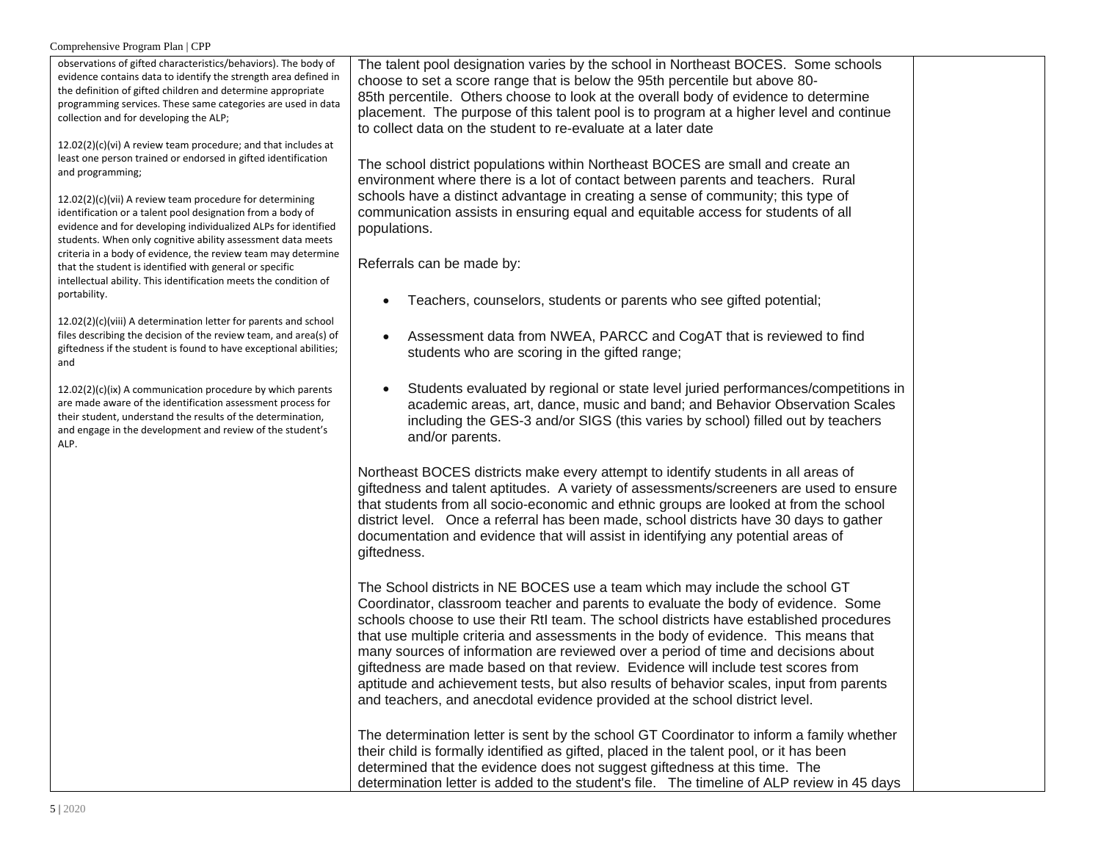## Comprehensive Program Plan | CPP

| observations of gifted characteristics/behaviors). The body of                                                                        | The talent pool designation varies by the school in Northeast BOCES. Some schools          |  |
|---------------------------------------------------------------------------------------------------------------------------------------|--------------------------------------------------------------------------------------------|--|
| evidence contains data to identify the strength area defined in                                                                       | choose to set a score range that is below the 95th percentile but above 80-                |  |
| the definition of gifted children and determine appropriate                                                                           | 85th percentile. Others choose to look at the overall body of evidence to determine        |  |
| programming services. These same categories are used in data                                                                          | placement. The purpose of this talent pool is to program at a higher level and continue    |  |
| collection and for developing the ALP;                                                                                                | to collect data on the student to re-evaluate at a later date                              |  |
| $12.02(2)(c)(vi)$ A review team procedure; and that includes at                                                                       |                                                                                            |  |
| least one person trained or endorsed in gifted identification                                                                         |                                                                                            |  |
| and programming;                                                                                                                      | The school district populations within Northeast BOCES are small and create an             |  |
|                                                                                                                                       | environment where there is a lot of contact between parents and teachers. Rural            |  |
| 12.02(2)(c)(vii) A review team procedure for determining                                                                              | schools have a distinct advantage in creating a sense of community; this type of           |  |
| identification or a talent pool designation from a body of                                                                            | communication assists in ensuring equal and equitable access for students of all           |  |
| evidence and for developing individualized ALPs for identified                                                                        | populations.                                                                               |  |
| students. When only cognitive ability assessment data meets                                                                           |                                                                                            |  |
| criteria in a body of evidence, the review team may determine                                                                         |                                                                                            |  |
| that the student is identified with general or specific                                                                               | Referrals can be made by:                                                                  |  |
| intellectual ability. This identification meets the condition of                                                                      |                                                                                            |  |
| portability.                                                                                                                          | Teachers, counselors, students or parents who see gifted potential;                        |  |
|                                                                                                                                       |                                                                                            |  |
| 12.02(2)(c)(viii) A determination letter for parents and school                                                                       |                                                                                            |  |
| files describing the decision of the review team, and area(s) of<br>giftedness if the student is found to have exceptional abilities; | Assessment data from NWEA, PARCC and CogAT that is reviewed to find                        |  |
| and                                                                                                                                   | students who are scoring in the gifted range;                                              |  |
|                                                                                                                                       |                                                                                            |  |
| 12.02(2)(c)(ix) A communication procedure by which parents                                                                            | Students evaluated by regional or state level juried performances/competitions in          |  |
| are made aware of the identification assessment process for                                                                           | academic areas, art, dance, music and band; and Behavior Observation Scales                |  |
| their student, understand the results of the determination,                                                                           |                                                                                            |  |
| and engage in the development and review of the student's                                                                             | including the GES-3 and/or SIGS (this varies by school) filled out by teachers             |  |
| ALP.                                                                                                                                  | and/or parents.                                                                            |  |
|                                                                                                                                       |                                                                                            |  |
|                                                                                                                                       | Northeast BOCES districts make every attempt to identify students in all areas of          |  |
|                                                                                                                                       | giftedness and talent aptitudes. A variety of assessments/screeners are used to ensure     |  |
|                                                                                                                                       | that students from all socio-economic and ethnic groups are looked at from the school      |  |
|                                                                                                                                       | district level. Once a referral has been made, school districts have 30 days to gather     |  |
|                                                                                                                                       | documentation and evidence that will assist in identifying any potential areas of          |  |
|                                                                                                                                       |                                                                                            |  |
|                                                                                                                                       | giftedness.                                                                                |  |
|                                                                                                                                       |                                                                                            |  |
|                                                                                                                                       | The School districts in NE BOCES use a team which may include the school GT                |  |
|                                                                                                                                       | Coordinator, classroom teacher and parents to evaluate the body of evidence. Some          |  |
|                                                                                                                                       | schools choose to use their RtI team. The school districts have established procedures     |  |
|                                                                                                                                       | that use multiple criteria and assessments in the body of evidence. This means that        |  |
|                                                                                                                                       | many sources of information are reviewed over a period of time and decisions about         |  |
|                                                                                                                                       |                                                                                            |  |
|                                                                                                                                       | giftedness are made based on that review. Evidence will include test scores from           |  |
|                                                                                                                                       | aptitude and achievement tests, but also results of behavior scales, input from parents    |  |
|                                                                                                                                       | and teachers, and anecdotal evidence provided at the school district level.                |  |
|                                                                                                                                       |                                                                                            |  |
|                                                                                                                                       | The determination letter is sent by the school GT Coordinator to inform a family whether   |  |
|                                                                                                                                       | their child is formally identified as gifted, placed in the talent pool, or it has been    |  |
|                                                                                                                                       | determined that the evidence does not suggest giftedness at this time. The                 |  |
|                                                                                                                                       |                                                                                            |  |
|                                                                                                                                       | determination letter is added to the student's file. The timeline of ALP review in 45 days |  |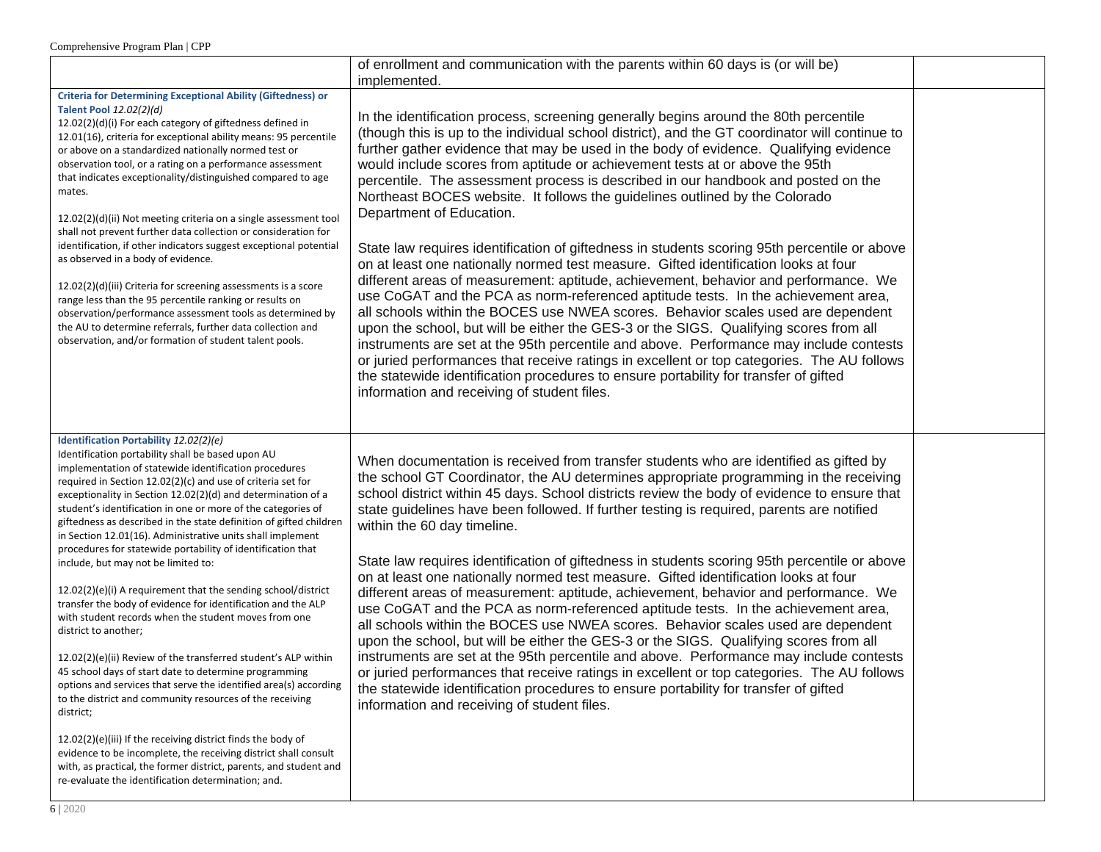|                                                                                                                                                                                                                                                                                                                                                                                                                                                                                                                                                                                                                                                                                                                                                                                                                                                                                                                                                                                                                                                                                                                                                                                                                                                                                                                                                      | of enrollment and communication with the parents within 60 days is (or will be)<br>implemented.                                                                                                                                                                                                                                                                                                                                                                                                                                                                                                                                                                                                                                                                                                                                                                                                                                                                                                                                                                                                                                                                                                                                                                                                                                                                                                                                                |  |
|------------------------------------------------------------------------------------------------------------------------------------------------------------------------------------------------------------------------------------------------------------------------------------------------------------------------------------------------------------------------------------------------------------------------------------------------------------------------------------------------------------------------------------------------------------------------------------------------------------------------------------------------------------------------------------------------------------------------------------------------------------------------------------------------------------------------------------------------------------------------------------------------------------------------------------------------------------------------------------------------------------------------------------------------------------------------------------------------------------------------------------------------------------------------------------------------------------------------------------------------------------------------------------------------------------------------------------------------------|------------------------------------------------------------------------------------------------------------------------------------------------------------------------------------------------------------------------------------------------------------------------------------------------------------------------------------------------------------------------------------------------------------------------------------------------------------------------------------------------------------------------------------------------------------------------------------------------------------------------------------------------------------------------------------------------------------------------------------------------------------------------------------------------------------------------------------------------------------------------------------------------------------------------------------------------------------------------------------------------------------------------------------------------------------------------------------------------------------------------------------------------------------------------------------------------------------------------------------------------------------------------------------------------------------------------------------------------------------------------------------------------------------------------------------------------|--|
| <b>Criteria for Determining Exceptional Ability (Giftedness) or</b><br>Talent Pool 12.02(2)(d)<br>12.02(2)(d)(i) For each category of giftedness defined in<br>12.01(16), criteria for exceptional ability means: 95 percentile<br>or above on a standardized nationally normed test or<br>observation tool, or a rating on a performance assessment<br>that indicates exceptionality/distinguished compared to age<br>mates.<br>12.02(2)(d)(ii) Not meeting criteria on a single assessment tool<br>shall not prevent further data collection or consideration for<br>identification, if other indicators suggest exceptional potential<br>as observed in a body of evidence.<br>$12.02(2)(d)(iii)$ Criteria for screening assessments is a score<br>range less than the 95 percentile ranking or results on<br>observation/performance assessment tools as determined by<br>the AU to determine referrals, further data collection and<br>observation, and/or formation of student talent pools.                                                                                                                                                                                                                                                                                                                                                   | In the identification process, screening generally begins around the 80th percentile<br>(though this is up to the individual school district), and the GT coordinator will continue to<br>further gather evidence that may be used in the body of evidence. Qualifying evidence<br>would include scores from aptitude or achievement tests at or above the 95th<br>percentile. The assessment process is described in our handbook and posted on the<br>Northeast BOCES website. It follows the guidelines outlined by the Colorado<br>Department of Education.<br>State law requires identification of giftedness in students scoring 95th percentile or above<br>on at least one nationally normed test measure. Gifted identification looks at four<br>different areas of measurement: aptitude, achievement, behavior and performance. We<br>use CoGAT and the PCA as norm-referenced aptitude tests. In the achievement area,<br>all schools within the BOCES use NWEA scores. Behavior scales used are dependent<br>upon the school, but will be either the GES-3 or the SIGS. Qualifying scores from all<br>instruments are set at the 95th percentile and above. Performance may include contests<br>or juried performances that receive ratings in excellent or top categories. The AU follows<br>the statewide identification procedures to ensure portability for transfer of gifted<br>information and receiving of student files. |  |
| Identification Portability 12.02(2)(e)<br>Identification portability shall be based upon AU<br>implementation of statewide identification procedures<br>required in Section 12.02(2)(c) and use of criteria set for<br>exceptionality in Section 12.02(2)(d) and determination of a<br>student's identification in one or more of the categories of<br>giftedness as described in the state definition of gifted children<br>in Section 12.01(16). Administrative units shall implement<br>procedures for statewide portability of identification that<br>include, but may not be limited to:<br>12.02(2)(e)(i) A requirement that the sending school/district<br>transfer the body of evidence for identification and the ALP<br>with student records when the student moves from one<br>district to another;<br>12.02(2)(e)(ii) Review of the transferred student's ALP within<br>45 school days of start date to determine programming<br>options and services that serve the identified area(s) according<br>to the district and community resources of the receiving<br>district;<br>12.02(2)(e)(iii) If the receiving district finds the body of<br>evidence to be incomplete, the receiving district shall consult<br>with, as practical, the former district, parents, and student and<br>re-evaluate the identification determination; and. | When documentation is received from transfer students who are identified as gifted by<br>the school GT Coordinator, the AU determines appropriate programming in the receiving<br>school district within 45 days. School districts review the body of evidence to ensure that<br>state guidelines have been followed. If further testing is required, parents are notified<br>within the 60 day timeline.<br>State law requires identification of giftedness in students scoring 95th percentile or above<br>on at least one nationally normed test measure. Gifted identification looks at four<br>different areas of measurement: aptitude, achievement, behavior and performance. We<br>use CoGAT and the PCA as norm-referenced aptitude tests. In the achievement area,<br>all schools within the BOCES use NWEA scores. Behavior scales used are dependent<br>upon the school, but will be either the GES-3 or the SIGS. Qualifying scores from all<br>instruments are set at the 95th percentile and above. Performance may include contests<br>or juried performances that receive ratings in excellent or top categories. The AU follows<br>the statewide identification procedures to ensure portability for transfer of gifted<br>information and receiving of student files.                                                                                                                                                       |  |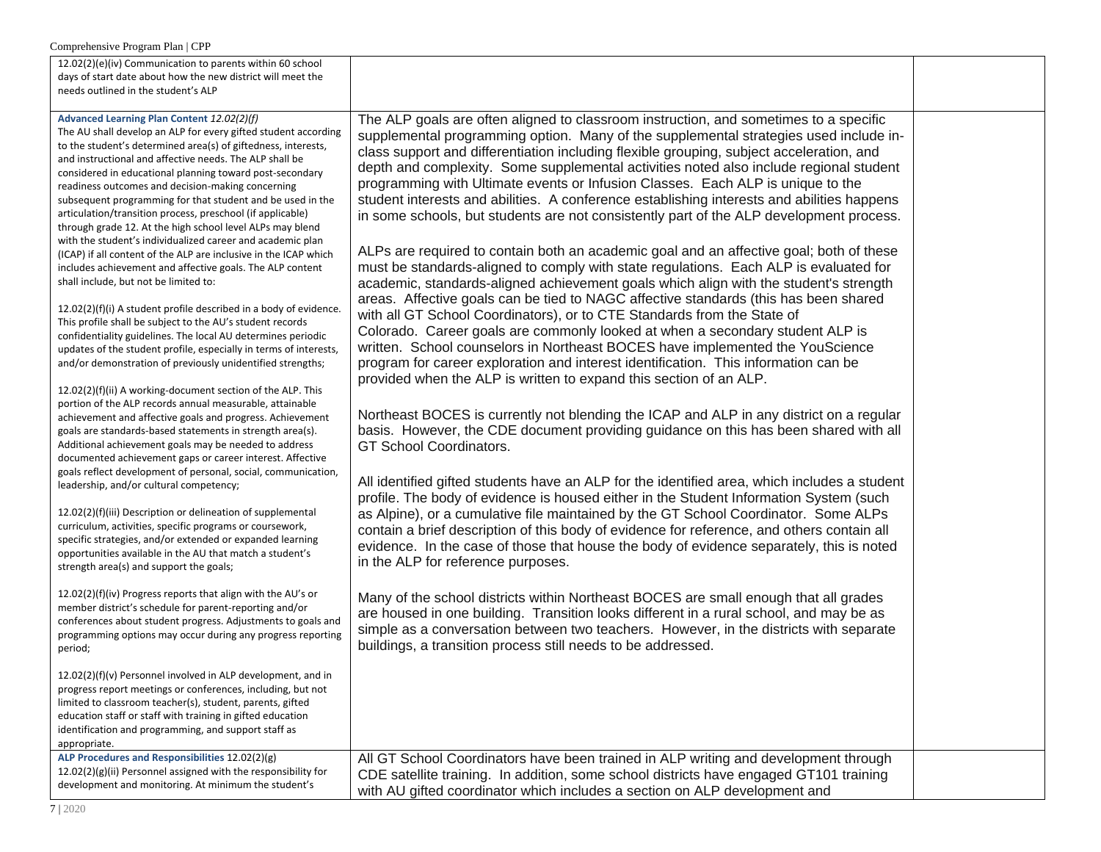| Comprehensive Program Plan   CPP                                                                                                                                                                                                                                                                                                                                                                                                                                                                                                                                                                                                                                                                                                                                                                                                                                                                                                                                                                                                                                                                                                                                                                                                                                                                                                                                                                                                                                                                                                                                                                                                                                                                                                                                                                                                                                                                                                                                                                                                                                                                                                                                                          |                                                                                                                                                                                                                                                                                                                                                                                                                                                                                                                                                                                                                                                                                                                                                                                                                                                                                                                                                                                                                                                                                                                                                                                                                                                                                                                                                                                                                                                                                                                                                                                                                                                                                                                                                                                                                                                                                                                                                                                                                                                                                                                                                                                                                                                                                                                                                                                                                                                                                                             |  |
|-------------------------------------------------------------------------------------------------------------------------------------------------------------------------------------------------------------------------------------------------------------------------------------------------------------------------------------------------------------------------------------------------------------------------------------------------------------------------------------------------------------------------------------------------------------------------------------------------------------------------------------------------------------------------------------------------------------------------------------------------------------------------------------------------------------------------------------------------------------------------------------------------------------------------------------------------------------------------------------------------------------------------------------------------------------------------------------------------------------------------------------------------------------------------------------------------------------------------------------------------------------------------------------------------------------------------------------------------------------------------------------------------------------------------------------------------------------------------------------------------------------------------------------------------------------------------------------------------------------------------------------------------------------------------------------------------------------------------------------------------------------------------------------------------------------------------------------------------------------------------------------------------------------------------------------------------------------------------------------------------------------------------------------------------------------------------------------------------------------------------------------------------------------------------------------------|-------------------------------------------------------------------------------------------------------------------------------------------------------------------------------------------------------------------------------------------------------------------------------------------------------------------------------------------------------------------------------------------------------------------------------------------------------------------------------------------------------------------------------------------------------------------------------------------------------------------------------------------------------------------------------------------------------------------------------------------------------------------------------------------------------------------------------------------------------------------------------------------------------------------------------------------------------------------------------------------------------------------------------------------------------------------------------------------------------------------------------------------------------------------------------------------------------------------------------------------------------------------------------------------------------------------------------------------------------------------------------------------------------------------------------------------------------------------------------------------------------------------------------------------------------------------------------------------------------------------------------------------------------------------------------------------------------------------------------------------------------------------------------------------------------------------------------------------------------------------------------------------------------------------------------------------------------------------------------------------------------------------------------------------------------------------------------------------------------------------------------------------------------------------------------------------------------------------------------------------------------------------------------------------------------------------------------------------------------------------------------------------------------------------------------------------------------------------------------------------------------------|--|
| 12.02(2)(e)(iv) Communication to parents within 60 school<br>days of start date about how the new district will meet the<br>needs outlined in the student's ALP                                                                                                                                                                                                                                                                                                                                                                                                                                                                                                                                                                                                                                                                                                                                                                                                                                                                                                                                                                                                                                                                                                                                                                                                                                                                                                                                                                                                                                                                                                                                                                                                                                                                                                                                                                                                                                                                                                                                                                                                                           |                                                                                                                                                                                                                                                                                                                                                                                                                                                                                                                                                                                                                                                                                                                                                                                                                                                                                                                                                                                                                                                                                                                                                                                                                                                                                                                                                                                                                                                                                                                                                                                                                                                                                                                                                                                                                                                                                                                                                                                                                                                                                                                                                                                                                                                                                                                                                                                                                                                                                                             |  |
| Advanced Learning Plan Content 12.02(2)(f)<br>The AU shall develop an ALP for every gifted student according<br>to the student's determined area(s) of giftedness, interests,<br>and instructional and affective needs. The ALP shall be<br>considered in educational planning toward post-secondary<br>readiness outcomes and decision-making concerning<br>subsequent programming for that student and be used in the<br>articulation/transition process, preschool (if applicable)<br>through grade 12. At the high school level ALPs may blend<br>with the student's individualized career and academic plan<br>(ICAP) if all content of the ALP are inclusive in the ICAP which<br>includes achievement and affective goals. The ALP content<br>shall include, but not be limited to:<br>12.02(2)(f)(i) A student profile described in a body of evidence.<br>This profile shall be subject to the AU's student records<br>confidentiality guidelines. The local AU determines periodic<br>updates of the student profile, especially in terms of interests,<br>and/or demonstration of previously unidentified strengths;<br>12.02(2)(f)(ii) A working-document section of the ALP. This<br>portion of the ALP records annual measurable, attainable<br>achievement and affective goals and progress. Achievement<br>goals are standards-based statements in strength area(s).<br>Additional achievement goals may be needed to address<br>documented achievement gaps or career interest. Affective<br>goals reflect development of personal, social, communication,<br>leadership, and/or cultural competency;<br>12.02(2)(f)(iii) Description or delineation of supplemental<br>curriculum, activities, specific programs or coursework,<br>specific strategies, and/or extended or expanded learning<br>opportunities available in the AU that match a student's<br>strength area(s) and support the goals;<br>12.02(2)(f)(iv) Progress reports that align with the AU's or<br>member district's schedule for parent-reporting and/or<br>conferences about student progress. Adjustments to goals and<br>programming options may occur during any progress reporting<br>period; | The ALP goals are often aligned to classroom instruction, and sometimes to a specific<br>supplemental programming option. Many of the supplemental strategies used include in-<br>class support and differentiation including flexible grouping, subject acceleration, and<br>depth and complexity. Some supplemental activities noted also include regional student<br>programming with Ultimate events or Infusion Classes. Each ALP is unique to the<br>student interests and abilities. A conference establishing interests and abilities happens<br>in some schools, but students are not consistently part of the ALP development process.<br>ALPs are required to contain both an academic goal and an affective goal; both of these<br>must be standards-aligned to comply with state regulations. Each ALP is evaluated for<br>academic, standards-aligned achievement goals which align with the student's strength<br>areas. Affective goals can be tied to NAGC affective standards (this has been shared<br>with all GT School Coordinators), or to CTE Standards from the State of<br>Colorado. Career goals are commonly looked at when a secondary student ALP is<br>written. School counselors in Northeast BOCES have implemented the YouScience<br>program for career exploration and interest identification. This information can be<br>provided when the ALP is written to expand this section of an ALP.<br>Northeast BOCES is currently not blending the ICAP and ALP in any district on a regular<br>basis. However, the CDE document providing guidance on this has been shared with all<br>GT School Coordinators.<br>All identified gifted students have an ALP for the identified area, which includes a student<br>profile. The body of evidence is housed either in the Student Information System (such<br>as Alpine), or a cumulative file maintained by the GT School Coordinator. Some ALPs<br>contain a brief description of this body of evidence for reference, and others contain all<br>evidence. In the case of those that house the body of evidence separately, this is noted<br>in the ALP for reference purposes.<br>Many of the school districts within Northeast BOCES are small enough that all grades<br>are housed in one building. Transition looks different in a rural school, and may be as<br>simple as a conversation between two teachers. However, in the districts with separate<br>buildings, a transition process still needs to be addressed. |  |
| 12.02(2)(f)(v) Personnel involved in ALP development, and in<br>progress report meetings or conferences, including, but not<br>limited to classroom teacher(s), student, parents, gifted<br>education staff or staff with training in gifted education<br>identification and programming, and support staff as<br>appropriate.                                                                                                                                                                                                                                                                                                                                                                                                                                                                                                                                                                                                                                                                                                                                                                                                                                                                                                                                                                                                                                                                                                                                                                                                                                                                                                                                                                                                                                                                                                                                                                                                                                                                                                                                                                                                                                                            |                                                                                                                                                                                                                                                                                                                                                                                                                                                                                                                                                                                                                                                                                                                                                                                                                                                                                                                                                                                                                                                                                                                                                                                                                                                                                                                                                                                                                                                                                                                                                                                                                                                                                                                                                                                                                                                                                                                                                                                                                                                                                                                                                                                                                                                                                                                                                                                                                                                                                                             |  |
| ALP Procedures and Responsibilities 12.02(2)(g)<br>12.02(2)(g)(ii) Personnel assigned with the responsibility for<br>development and monitoring. At minimum the student's                                                                                                                                                                                                                                                                                                                                                                                                                                                                                                                                                                                                                                                                                                                                                                                                                                                                                                                                                                                                                                                                                                                                                                                                                                                                                                                                                                                                                                                                                                                                                                                                                                                                                                                                                                                                                                                                                                                                                                                                                 | All GT School Coordinators have been trained in ALP writing and development through<br>CDE satellite training. In addition, some school districts have engaged GT101 training<br>with AU gifted coordinator which includes a section on ALP development and                                                                                                                                                                                                                                                                                                                                                                                                                                                                                                                                                                                                                                                                                                                                                                                                                                                                                                                                                                                                                                                                                                                                                                                                                                                                                                                                                                                                                                                                                                                                                                                                                                                                                                                                                                                                                                                                                                                                                                                                                                                                                                                                                                                                                                                 |  |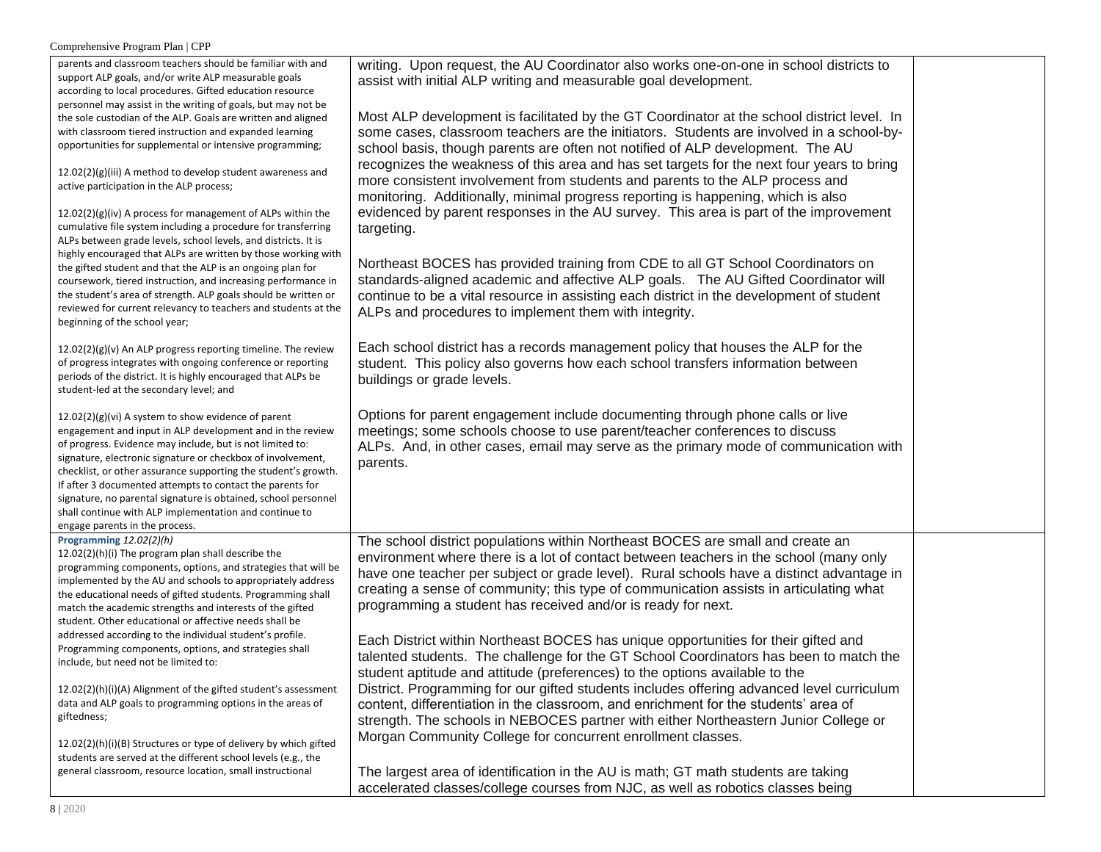| $\sim$                                                                                                                   |                                                                                            |  |
|--------------------------------------------------------------------------------------------------------------------------|--------------------------------------------------------------------------------------------|--|
| parents and classroom teachers should be familiar with and                                                               | writing. Upon request, the AU Coordinator also works one-on-one in school districts to     |  |
| support ALP goals, and/or write ALP measurable goals                                                                     | assist with initial ALP writing and measurable goal development.                           |  |
| according to local procedures. Gifted education resource<br>personnel may assist in the writing of goals, but may not be |                                                                                            |  |
| the sole custodian of the ALP. Goals are written and aligned                                                             | Most ALP development is facilitated by the GT Coordinator at the school district level. In |  |
| with classroom tiered instruction and expanded learning                                                                  | some cases, classroom teachers are the initiators. Students are involved in a school-by-   |  |
| opportunities for supplemental or intensive programming;                                                                 |                                                                                            |  |
|                                                                                                                          | school basis, though parents are often not notified of ALP development. The AU             |  |
| 12.02(2)(g)(iii) A method to develop student awareness and                                                               | recognizes the weakness of this area and has set targets for the next four years to bring  |  |
| active participation in the ALP process;                                                                                 | more consistent involvement from students and parents to the ALP process and               |  |
|                                                                                                                          | monitoring. Additionally, minimal progress reporting is happening, which is also           |  |
| $12.02(2)(g)(iv)$ A process for management of ALPs within the                                                            | evidenced by parent responses in the AU survey. This area is part of the improvement       |  |
| cumulative file system including a procedure for transferring                                                            | targeting.                                                                                 |  |
| ALPs between grade levels, school levels, and districts. It is                                                           |                                                                                            |  |
| highly encouraged that ALPs are written by those working with                                                            |                                                                                            |  |
| the gifted student and that the ALP is an ongoing plan for                                                               | Northeast BOCES has provided training from CDE to all GT School Coordinators on            |  |
| coursework, tiered instruction, and increasing performance in                                                            | standards-aligned academic and affective ALP goals. The AU Gifted Coordinator will         |  |
| the student's area of strength. ALP goals should be written or                                                           | continue to be a vital resource in assisting each district in the development of student   |  |
| reviewed for current relevancy to teachers and students at the                                                           | ALPs and procedures to implement them with integrity.                                      |  |
| beginning of the school year;                                                                                            |                                                                                            |  |
| 12.02(2)(g)(v) An ALP progress reporting timeline. The review                                                            | Each school district has a records management policy that houses the ALP for the           |  |
| of progress integrates with ongoing conference or reporting                                                              | student. This policy also governs how each school transfers information between            |  |
| periods of the district. It is highly encouraged that ALPs be                                                            | buildings or grade levels.                                                                 |  |
| student-led at the secondary level; and                                                                                  |                                                                                            |  |
|                                                                                                                          |                                                                                            |  |
| 12.02(2)(g)(vi) A system to show evidence of parent                                                                      | Options for parent engagement include documenting through phone calls or live              |  |
| engagement and input in ALP development and in the review                                                                | meetings; some schools choose to use parent/teacher conferences to discuss                 |  |
| of progress. Evidence may include, but is not limited to:                                                                | ALPs. And, in other cases, email may serve as the primary mode of communication with       |  |
| signature, electronic signature or checkbox of involvement,                                                              | parents.                                                                                   |  |
| checklist, or other assurance supporting the student's growth.                                                           |                                                                                            |  |
| If after 3 documented attempts to contact the parents for                                                                |                                                                                            |  |
| signature, no parental signature is obtained, school personnel                                                           |                                                                                            |  |
| shall continue with ALP implementation and continue to<br>engage parents in the process.                                 |                                                                                            |  |
| Programming 12.02(2)(h)                                                                                                  | The school district populations within Northeast BOCES are small and create an             |  |
| 12.02(2)(h)(i) The program plan shall describe the                                                                       |                                                                                            |  |
| programming components, options, and strategies that will be                                                             | environment where there is a lot of contact between teachers in the school (many only      |  |
| implemented by the AU and schools to appropriately address                                                               | have one teacher per subject or grade level). Rural schools have a distinct advantage in   |  |
| the educational needs of gifted students. Programming shall                                                              | creating a sense of community; this type of communication assists in articulating what     |  |
| match the academic strengths and interests of the gifted                                                                 | programming a student has received and/or is ready for next.                               |  |
| student. Other educational or affective needs shall be                                                                   |                                                                                            |  |
| addressed according to the individual student's profile.                                                                 | Each District within Northeast BOCES has unique opportunities for their gifted and         |  |
| Programming components, options, and strategies shall                                                                    | talented students. The challenge for the GT School Coordinators has been to match the      |  |
| include, but need not be limited to:                                                                                     |                                                                                            |  |
|                                                                                                                          | student aptitude and attitude (preferences) to the options available to the                |  |
| 12.02(2)(h)(i)(A) Alignment of the gifted student's assessment                                                           | District. Programming for our gifted students includes offering advanced level curriculum  |  |
| data and ALP goals to programming options in the areas of                                                                | content, differentiation in the classroom, and enrichment for the students' area of        |  |
| giftedness;                                                                                                              | strength. The schools in NEBOCES partner with either Northeastern Junior College or        |  |
| 12.02(2)(h)(i)(B) Structures or type of delivery by which gifted                                                         | Morgan Community College for concurrent enrollment classes.                                |  |
| students are served at the different school levels (e.g., the                                                            |                                                                                            |  |
| general classroom, resource location, small instructional                                                                | The largest area of identification in the AU is math; GT math students are taking          |  |
|                                                                                                                          | accelerated classes/college courses from NJC, as well as robotics classes being            |  |
|                                                                                                                          |                                                                                            |  |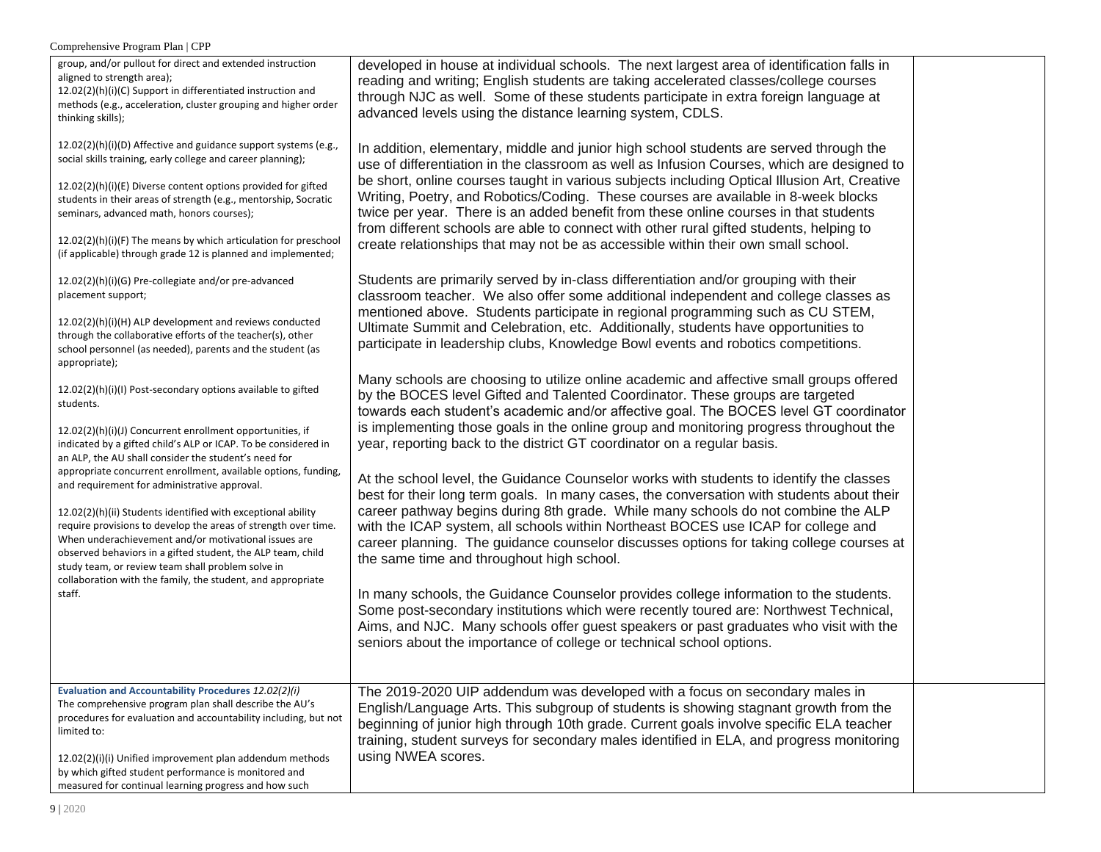Comprehensive Program Plan | CPP

| group, and/or pullout for direct and extended instruction<br>aligned to strength area);<br>12.02(2)(h)(i)(C) Support in differentiated instruction and<br>methods (e.g., acceleration, cluster grouping and higher order<br>thinking skills);<br>12.02(2)(h)(i)(D) Affective and guidance support systems (e.g.,<br>social skills training, early college and career planning);<br>12.02(2)(h)(i)(E) Diverse content options provided for gifted<br>students in their areas of strength (e.g., mentorship, Socratic<br>seminars, advanced math, honors courses);<br>12.02(2)(h)(i)(F) The means by which articulation for preschool<br>(if applicable) through grade 12 is planned and implemented;<br>12.02(2)(h)(i)(G) Pre-collegiate and/or pre-advanced<br>placement support;<br>12.02(2)(h)(i)(H) ALP development and reviews conducted<br>through the collaborative efforts of the teacher(s), other<br>school personnel (as needed), parents and the student (as<br>appropriate);<br>12.02(2)(h)(i)(l) Post-secondary options available to gifted<br>students.<br>12.02(2)(h)(i)(J) Concurrent enrollment opportunities, if<br>indicated by a gifted child's ALP or ICAP. To be considered in<br>an ALP, the AU shall consider the student's need for<br>appropriate concurrent enrollment, available options, funding,<br>and requirement for administrative approval.<br>12.02(2)(h)(ii) Students identified with exceptional ability<br>require provisions to develop the areas of strength over time.<br>When underachievement and/or motivational issues are<br>observed behaviors in a gifted student, the ALP team, child<br>study team, or review team shall problem solve in<br>collaboration with the family, the student, and appropriate<br>staff. | developed in house at individual schools. The next largest area of identification falls in<br>reading and writing; English students are taking accelerated classes/college courses<br>through NJC as well. Some of these students participate in extra foreign language at<br>advanced levels using the distance learning system, CDLS.<br>In addition, elementary, middle and junior high school students are served through the<br>use of differentiation in the classroom as well as Infusion Courses, which are designed to<br>be short, online courses taught in various subjects including Optical Illusion Art, Creative<br>Writing, Poetry, and Robotics/Coding. These courses are available in 8-week blocks<br>twice per year. There is an added benefit from these online courses in that students<br>from different schools are able to connect with other rural gifted students, helping to<br>create relationships that may not be as accessible within their own small school.<br>Students are primarily served by in-class differentiation and/or grouping with their<br>classroom teacher. We also offer some additional independent and college classes as<br>mentioned above. Students participate in regional programming such as CU STEM,<br>Ultimate Summit and Celebration, etc. Additionally, students have opportunities to<br>participate in leadership clubs, Knowledge Bowl events and robotics competitions.<br>Many schools are choosing to utilize online academic and affective small groups offered<br>by the BOCES level Gifted and Talented Coordinator. These groups are targeted<br>towards each student's academic and/or affective goal. The BOCES level GT coordinator<br>is implementing those goals in the online group and monitoring progress throughout the<br>year, reporting back to the district GT coordinator on a regular basis.<br>At the school level, the Guidance Counselor works with students to identify the classes<br>best for their long term goals. In many cases, the conversation with students about their<br>career pathway begins during 8th grade. While many schools do not combine the ALP<br>with the ICAP system, all schools within Northeast BOCES use ICAP for college and<br>career planning. The guidance counselor discusses options for taking college courses at<br>the same time and throughout high school.<br>In many schools, the Guidance Counselor provides college information to the students.<br>Some post-secondary institutions which were recently toured are: Northwest Technical,<br>Aims, and NJC. Many schools offer guest speakers or past graduates who visit with the<br>seniors about the importance of college or technical school options. |  |
|-----------------------------------------------------------------------------------------------------------------------------------------------------------------------------------------------------------------------------------------------------------------------------------------------------------------------------------------------------------------------------------------------------------------------------------------------------------------------------------------------------------------------------------------------------------------------------------------------------------------------------------------------------------------------------------------------------------------------------------------------------------------------------------------------------------------------------------------------------------------------------------------------------------------------------------------------------------------------------------------------------------------------------------------------------------------------------------------------------------------------------------------------------------------------------------------------------------------------------------------------------------------------------------------------------------------------------------------------------------------------------------------------------------------------------------------------------------------------------------------------------------------------------------------------------------------------------------------------------------------------------------------------------------------------------------------------------------------------------------------------------------------------|--------------------------------------------------------------------------------------------------------------------------------------------------------------------------------------------------------------------------------------------------------------------------------------------------------------------------------------------------------------------------------------------------------------------------------------------------------------------------------------------------------------------------------------------------------------------------------------------------------------------------------------------------------------------------------------------------------------------------------------------------------------------------------------------------------------------------------------------------------------------------------------------------------------------------------------------------------------------------------------------------------------------------------------------------------------------------------------------------------------------------------------------------------------------------------------------------------------------------------------------------------------------------------------------------------------------------------------------------------------------------------------------------------------------------------------------------------------------------------------------------------------------------------------------------------------------------------------------------------------------------------------------------------------------------------------------------------------------------------------------------------------------------------------------------------------------------------------------------------------------------------------------------------------------------------------------------------------------------------------------------------------------------------------------------------------------------------------------------------------------------------------------------------------------------------------------------------------------------------------------------------------------------------------------------------------------------------------------------------------------------------------------------------------------------------------------------------------------------------------------------------------------------------------------------------------------------------------------------------------------------------------------------------------------------------------------------------------------------------------------------|--|
| Evaluation and Accountability Procedures 12.02(2)(i)<br>The comprehensive program plan shall describe the AU's<br>procedures for evaluation and accountability including, but not<br>limited to:<br>12.02(2)(i)(i) Unified improvement plan addendum methods<br>by which gifted student performance is monitored and<br>measured for continual learning progress and how such                                                                                                                                                                                                                                                                                                                                                                                                                                                                                                                                                                                                                                                                                                                                                                                                                                                                                                                                                                                                                                                                                                                                                                                                                                                                                                                                                                                         | The 2019-2020 UIP addendum was developed with a focus on secondary males in<br>English/Language Arts. This subgroup of students is showing stagnant growth from the<br>beginning of junior high through 10th grade. Current goals involve specific ELA teacher<br>training, student surveys for secondary males identified in ELA, and progress monitoring<br>using NWEA scores.                                                                                                                                                                                                                                                                                                                                                                                                                                                                                                                                                                                                                                                                                                                                                                                                                                                                                                                                                                                                                                                                                                                                                                                                                                                                                                                                                                                                                                                                                                                                                                                                                                                                                                                                                                                                                                                                                                                                                                                                                                                                                                                                                                                                                                                                                                                                                                 |  |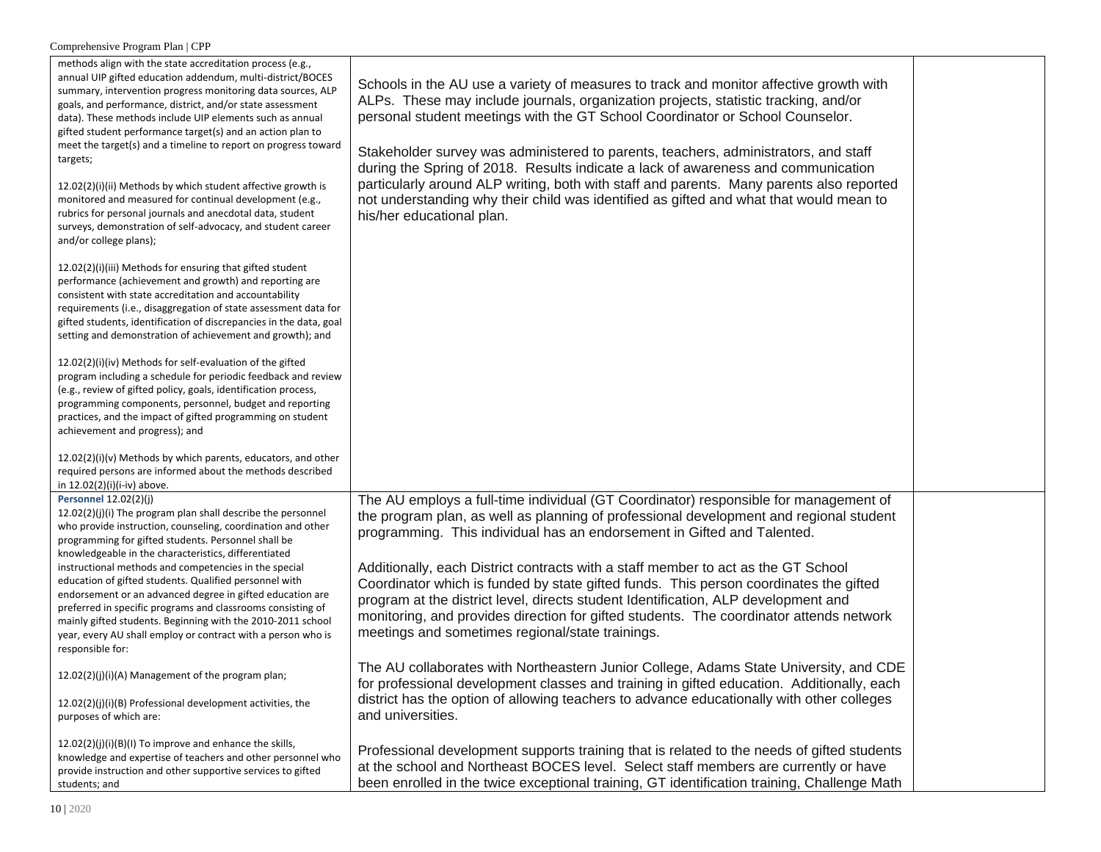| methods align with the state accreditation process (e.g.,<br>annual UIP gifted education addendum, multi-district/BOCES<br>summary, intervention progress monitoring data sources, ALP<br>goals, and performance, district, and/or state assessment<br>data). These methods include UIP elements such as annual<br>gifted student performance target(s) and an action plan to<br>meet the target(s) and a timeline to report on progress toward<br>targets;<br>12.02(2)(i)(ii) Methods by which student affective growth is<br>monitored and measured for continual development (e.g.,<br>rubrics for personal journals and anecdotal data, student<br>surveys, demonstration of self-advocacy, and student career<br>and/or college plans); | Schools in the AU use a variety of measures to track and monitor affective growth with<br>ALPs. These may include journals, organization projects, statistic tracking, and/or<br>personal student meetings with the GT School Coordinator or School Counselor.<br>Stakeholder survey was administered to parents, teachers, administrators, and staff<br>during the Spring of 2018. Results indicate a lack of awareness and communication<br>particularly around ALP writing, both with staff and parents. Many parents also reported<br>not understanding why their child was identified as gifted and what that would mean to<br>his/her educational plan.                |  |
|----------------------------------------------------------------------------------------------------------------------------------------------------------------------------------------------------------------------------------------------------------------------------------------------------------------------------------------------------------------------------------------------------------------------------------------------------------------------------------------------------------------------------------------------------------------------------------------------------------------------------------------------------------------------------------------------------------------------------------------------|------------------------------------------------------------------------------------------------------------------------------------------------------------------------------------------------------------------------------------------------------------------------------------------------------------------------------------------------------------------------------------------------------------------------------------------------------------------------------------------------------------------------------------------------------------------------------------------------------------------------------------------------------------------------------|--|
| 12.02(2)(i)(iii) Methods for ensuring that gifted student<br>performance (achievement and growth) and reporting are<br>consistent with state accreditation and accountability<br>requirements (i.e., disaggregation of state assessment data for<br>gifted students, identification of discrepancies in the data, goal<br>setting and demonstration of achievement and growth); and                                                                                                                                                                                                                                                                                                                                                          |                                                                                                                                                                                                                                                                                                                                                                                                                                                                                                                                                                                                                                                                              |  |
| 12.02(2)(i)(iv) Methods for self-evaluation of the gifted<br>program including a schedule for periodic feedback and review<br>(e.g., review of gifted policy, goals, identification process,<br>programming components, personnel, budget and reporting<br>practices, and the impact of gifted programming on student<br>achievement and progress); and                                                                                                                                                                                                                                                                                                                                                                                      |                                                                                                                                                                                                                                                                                                                                                                                                                                                                                                                                                                                                                                                                              |  |
| $12.02(2)(i)(v)$ Methods by which parents, educators, and other<br>required persons are informed about the methods described<br>in 12.02(2)(i)(i-iv) above.                                                                                                                                                                                                                                                                                                                                                                                                                                                                                                                                                                                  |                                                                                                                                                                                                                                                                                                                                                                                                                                                                                                                                                                                                                                                                              |  |
| Personnel 12.02(2)(j)<br>$12.02(2)(j)(i)$ The program plan shall describe the personnel<br>who provide instruction, counseling, coordination and other<br>programming for gifted students. Personnel shall be<br>knowledgeable in the characteristics, differentiated<br>instructional methods and competencies in the special<br>education of gifted students. Qualified personnel with<br>endorsement or an advanced degree in gifted education are<br>preferred in specific programs and classrooms consisting of<br>mainly gifted students. Beginning with the 2010-2011 school<br>year, every AU shall employ or contract with a person who is<br>responsible for:                                                                      | The AU employs a full-time individual (GT Coordinator) responsible for management of<br>the program plan, as well as planning of professional development and regional student<br>programming. This individual has an endorsement in Gifted and Talented.<br>Additionally, each District contracts with a staff member to act as the GT School<br>Coordinator which is funded by state gifted funds. This person coordinates the gifted<br>program at the district level, directs student Identification, ALP development and<br>monitoring, and provides direction for gifted students. The coordinator attends network<br>meetings and sometimes regional/state trainings. |  |
| 12.02(2)(j)(i)(A) Management of the program plan;<br>12.02(2)(j)(i)(B) Professional development activities, the<br>purposes of which are:                                                                                                                                                                                                                                                                                                                                                                                                                                                                                                                                                                                                    | The AU collaborates with Northeastern Junior College, Adams State University, and CDE<br>for professional development classes and training in gifted education. Additionally, each<br>district has the option of allowing teachers to advance educationally with other colleges<br>and universities.                                                                                                                                                                                                                                                                                                                                                                         |  |
| 12.02(2)(j)(i)(B)(I) To improve and enhance the skills,<br>knowledge and expertise of teachers and other personnel who<br>provide instruction and other supportive services to gifted<br>students; and                                                                                                                                                                                                                                                                                                                                                                                                                                                                                                                                       | Professional development supports training that is related to the needs of gifted students<br>at the school and Northeast BOCES level. Select staff members are currently or have<br>been enrolled in the twice exceptional training, GT identification training, Challenge Math                                                                                                                                                                                                                                                                                                                                                                                             |  |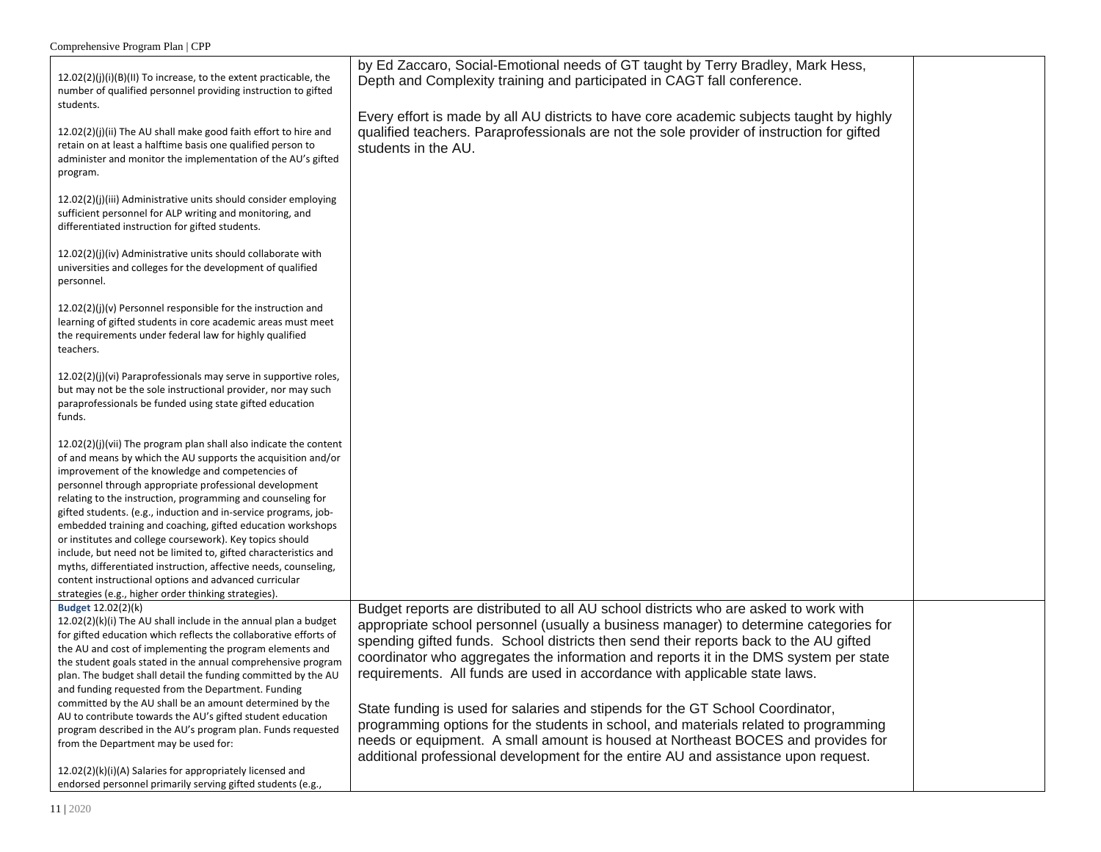| Comprehensive Program Plan   CPP                                                                                                                                                                                                                                                                                                                                                                                                                                                                                                                                                                                                                                                                                                                                          |                                                                                                                                                                                                                                                                                                                                                                                                                                                                                                                                                                                                                                                                                                                                                                                                   |  |
|---------------------------------------------------------------------------------------------------------------------------------------------------------------------------------------------------------------------------------------------------------------------------------------------------------------------------------------------------------------------------------------------------------------------------------------------------------------------------------------------------------------------------------------------------------------------------------------------------------------------------------------------------------------------------------------------------------------------------------------------------------------------------|---------------------------------------------------------------------------------------------------------------------------------------------------------------------------------------------------------------------------------------------------------------------------------------------------------------------------------------------------------------------------------------------------------------------------------------------------------------------------------------------------------------------------------------------------------------------------------------------------------------------------------------------------------------------------------------------------------------------------------------------------------------------------------------------------|--|
| 12.02(2)(j)(i)(B)(II) To increase, to the extent practicable, the<br>number of qualified personnel providing instruction to gifted<br>students.<br>12.02(2)(j)(ii) The AU shall make good faith effort to hire and<br>retain on at least a halftime basis one qualified person to<br>administer and monitor the implementation of the AU's gifted<br>program.                                                                                                                                                                                                                                                                                                                                                                                                             | by Ed Zaccaro, Social-Emotional needs of GT taught by Terry Bradley, Mark Hess,<br>Depth and Complexity training and participated in CAGT fall conference.<br>Every effort is made by all AU districts to have core academic subjects taught by highly<br>qualified teachers. Paraprofessionals are not the sole provider of instruction for gifted<br>students in the AU.                                                                                                                                                                                                                                                                                                                                                                                                                        |  |
| 12.02(2)(j)(iii) Administrative units should consider employing<br>sufficient personnel for ALP writing and monitoring, and<br>differentiated instruction for gifted students.                                                                                                                                                                                                                                                                                                                                                                                                                                                                                                                                                                                            |                                                                                                                                                                                                                                                                                                                                                                                                                                                                                                                                                                                                                                                                                                                                                                                                   |  |
| 12.02(2)(j)(iv) Administrative units should collaborate with<br>universities and colleges for the development of qualified<br>personnel.                                                                                                                                                                                                                                                                                                                                                                                                                                                                                                                                                                                                                                  |                                                                                                                                                                                                                                                                                                                                                                                                                                                                                                                                                                                                                                                                                                                                                                                                   |  |
| 12.02(2)(j)(v) Personnel responsible for the instruction and<br>learning of gifted students in core academic areas must meet<br>the requirements under federal law for highly qualified<br>teachers.                                                                                                                                                                                                                                                                                                                                                                                                                                                                                                                                                                      |                                                                                                                                                                                                                                                                                                                                                                                                                                                                                                                                                                                                                                                                                                                                                                                                   |  |
| 12.02(2)(j)(vi) Paraprofessionals may serve in supportive roles,<br>but may not be the sole instructional provider, nor may such<br>paraprofessionals be funded using state gifted education<br>funds.                                                                                                                                                                                                                                                                                                                                                                                                                                                                                                                                                                    |                                                                                                                                                                                                                                                                                                                                                                                                                                                                                                                                                                                                                                                                                                                                                                                                   |  |
| $12.02(2)(j)(vii)$ The program plan shall also indicate the content<br>of and means by which the AU supports the acquisition and/or<br>improvement of the knowledge and competencies of<br>personnel through appropriate professional development<br>relating to the instruction, programming and counseling for<br>gifted students. (e.g., induction and in-service programs, job-<br>embedded training and coaching, gifted education workshops<br>or institutes and college coursework). Key topics should<br>include, but need not be limited to, gifted characteristics and<br>myths, differentiated instruction, affective needs, counseling,<br>content instructional options and advanced curricular<br>strategies (e.g., higher order thinking strategies).      |                                                                                                                                                                                                                                                                                                                                                                                                                                                                                                                                                                                                                                                                                                                                                                                                   |  |
| Budget 12.02(2)(k)<br>12.02(2)(k)(i) The AU shall include in the annual plan a budget<br>for gifted education which reflects the collaborative efforts of<br>the AU and cost of implementing the program elements and<br>the student goals stated in the annual comprehensive program<br>plan. The budget shall detail the funding committed by the AU<br>and funding requested from the Department. Funding<br>committed by the AU shall be an amount determined by the<br>AU to contribute towards the AU's gifted student education<br>program described in the AU's program plan. Funds requested<br>from the Department may be used for:<br>12.02(2)(k)(i)(A) Salaries for appropriately licensed and<br>endorsed personnel primarily serving gifted students (e.g., | Budget reports are distributed to all AU school districts who are asked to work with<br>appropriate school personnel (usually a business manager) to determine categories for<br>spending gifted funds. School districts then send their reports back to the AU gifted<br>coordinator who aggregates the information and reports it in the DMS system per state<br>requirements. All funds are used in accordance with applicable state laws.<br>State funding is used for salaries and stipends for the GT School Coordinator,<br>programming options for the students in school, and materials related to programming<br>needs or equipment. A small amount is housed at Northeast BOCES and provides for<br>additional professional development for the entire AU and assistance upon request. |  |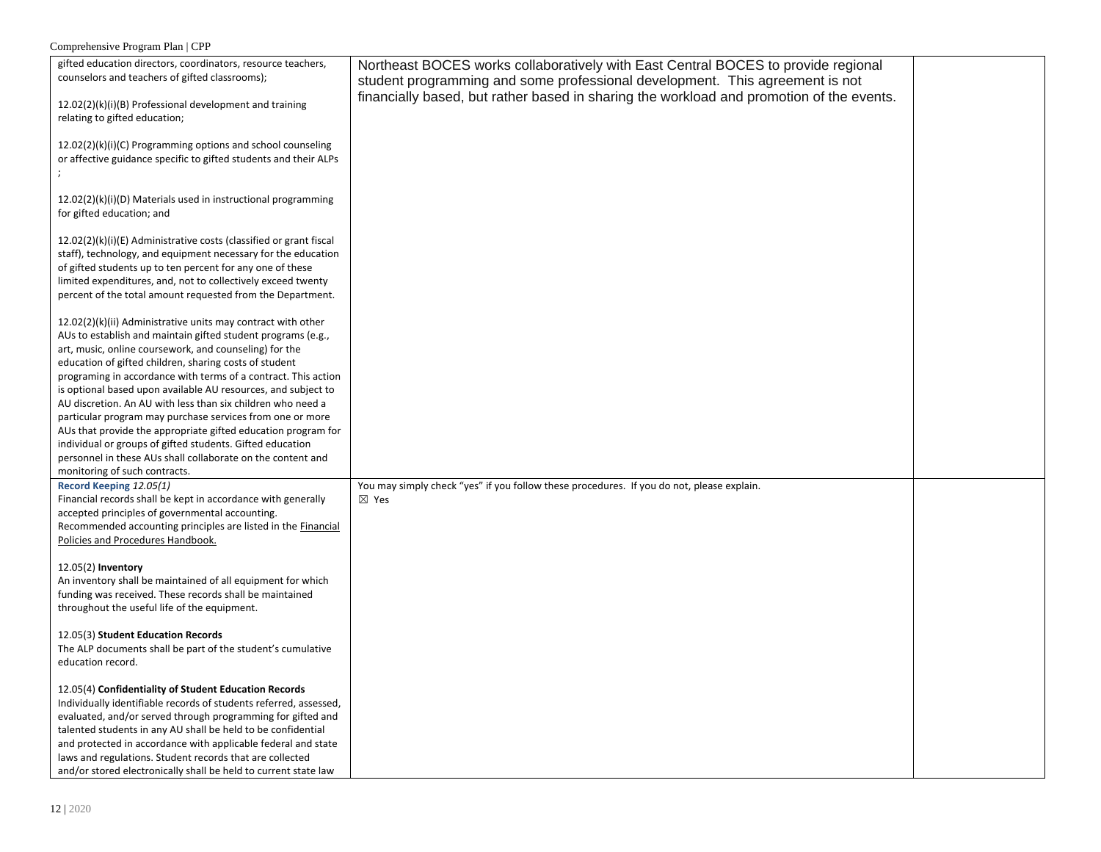| gifted education directors, coordinators, resource teachers,<br>counselors and teachers of gifted classrooms);<br>12.02(2)(k)(i)(B) Professional development and training                                                                                                                                                                                                                                                                                                                                                                                                                                                                     | Northeast BOCES works collaboratively with East Central BOCES to provide regional<br>student programming and some professional development. This agreement is not<br>financially based, but rather based in sharing the workload and promotion of the events. |  |
|-----------------------------------------------------------------------------------------------------------------------------------------------------------------------------------------------------------------------------------------------------------------------------------------------------------------------------------------------------------------------------------------------------------------------------------------------------------------------------------------------------------------------------------------------------------------------------------------------------------------------------------------------|---------------------------------------------------------------------------------------------------------------------------------------------------------------------------------------------------------------------------------------------------------------|--|
| relating to gifted education;<br>12.02(2)(k)(i)(C) Programming options and school counseling<br>or affective guidance specific to gifted students and their ALPs                                                                                                                                                                                                                                                                                                                                                                                                                                                                              |                                                                                                                                                                                                                                                               |  |
| 12.02(2)(k)(i)(D) Materials used in instructional programming<br>for gifted education; and                                                                                                                                                                                                                                                                                                                                                                                                                                                                                                                                                    |                                                                                                                                                                                                                                                               |  |
| 12.02(2)(k)(i)(E) Administrative costs (classified or grant fiscal<br>staff), technology, and equipment necessary for the education<br>of gifted students up to ten percent for any one of these<br>limited expenditures, and, not to collectively exceed twenty<br>percent of the total amount requested from the Department.                                                                                                                                                                                                                                                                                                                |                                                                                                                                                                                                                                                               |  |
| 12.02(2)(k)(ii) Administrative units may contract with other<br>AUs to establish and maintain gifted student programs (e.g.,<br>art, music, online coursework, and counseling) for the<br>education of gifted children, sharing costs of student<br>programing in accordance with terms of a contract. This action<br>is optional based upon available AU resources, and subject to<br>AU discretion. An AU with less than six children who need a<br>particular program may purchase services from one or more<br>AUs that provide the appropriate gifted education program for<br>individual or groups of gifted students. Gifted education |                                                                                                                                                                                                                                                               |  |
| personnel in these AUs shall collaborate on the content and<br>monitoring of such contracts.                                                                                                                                                                                                                                                                                                                                                                                                                                                                                                                                                  |                                                                                                                                                                                                                                                               |  |
| Record Keeping 12.05(1)<br>Financial records shall be kept in accordance with generally<br>accepted principles of governmental accounting.<br>Recommended accounting principles are listed in the Financial<br>Policies and Procedures Handbook.                                                                                                                                                                                                                                                                                                                                                                                              | You may simply check "yes" if you follow these procedures. If you do not, please explain.<br>$\boxtimes$ Yes                                                                                                                                                  |  |
| $12.05(2)$ Inventory<br>An inventory shall be maintained of all equipment for which<br>funding was received. These records shall be maintained<br>throughout the useful life of the equipment.                                                                                                                                                                                                                                                                                                                                                                                                                                                |                                                                                                                                                                                                                                                               |  |
| 12.05(3) Student Education Records<br>The ALP documents shall be part of the student's cumulative<br>education record.                                                                                                                                                                                                                                                                                                                                                                                                                                                                                                                        |                                                                                                                                                                                                                                                               |  |
| 12.05(4) Confidentiality of Student Education Records<br>Individually identifiable records of students referred, assessed,<br>evaluated, and/or served through programming for gifted and<br>talented students in any AU shall be held to be confidential<br>and protected in accordance with applicable federal and state<br>laws and regulations. Student records that are collected<br>and/or stored electronically shall be held to current state law                                                                                                                                                                                     |                                                                                                                                                                                                                                                               |  |